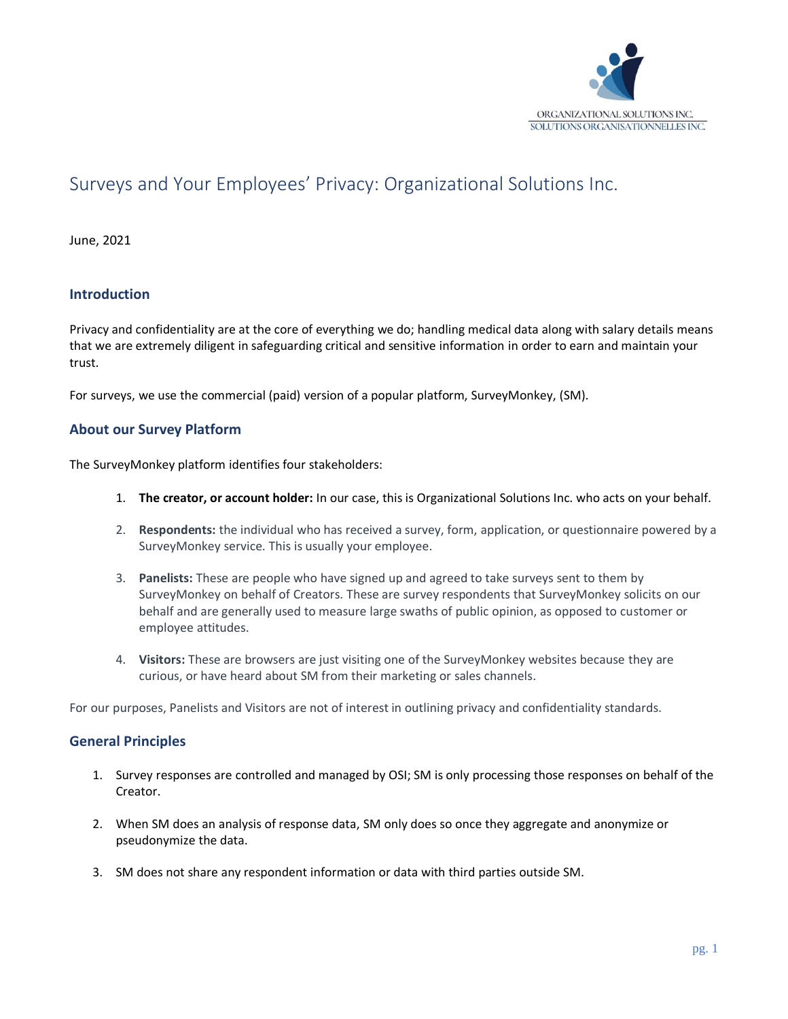

# Surveys and Your Employees' Privacy: Organizational Solutions Inc.

June, 2021

## **Introduction**

Privacy and confidentiality are at the core of everything we do; handling medical data along with salary details means that we are extremely diligent in safeguarding critical and sensitive information in order to earn and maintain your trust.

For surveys, we use the commercial (paid) version of a popular platform, SurveyMonkey, (SM).

## **About our Survey Platform**

The SurveyMonkey platform identifies four stakeholders:

- 1. **The creator, or account holder:** In our case, this is Organizational Solutions Inc. who acts on your behalf.
- 2. **Respondents:** the individual who has received a survey, form, application, or questionnaire powered by a SurveyMonkey service. This is usually your employee.
- 3. **Panelists:** These are people who have signed up and agreed to take surveys sent to them by SurveyMonkey on behalf of Creators. These are survey respondents that SurveyMonkey solicits on our behalf and are generally used to measure large swaths of public opinion, as opposed to customer or employee attitudes.
- 4. **Visitors:** These are browsers are just visiting one of the SurveyMonkey websites because they are curious, or have heard about SM from their marketing or sales channels.

For our purposes, Panelists and Visitors are not of interest in outlining privacy and confidentiality standards.

#### **General Principles**

- 1. Survey responses are controlled and managed by OSI; SM is only processing those responses on behalf of the Creator.
- 2. When SM does an analysis of response data, SM only does so once they aggregate and anonymize or pseudonymize the data.
- 3. SM does not share any respondent information or data with third parties outside SM.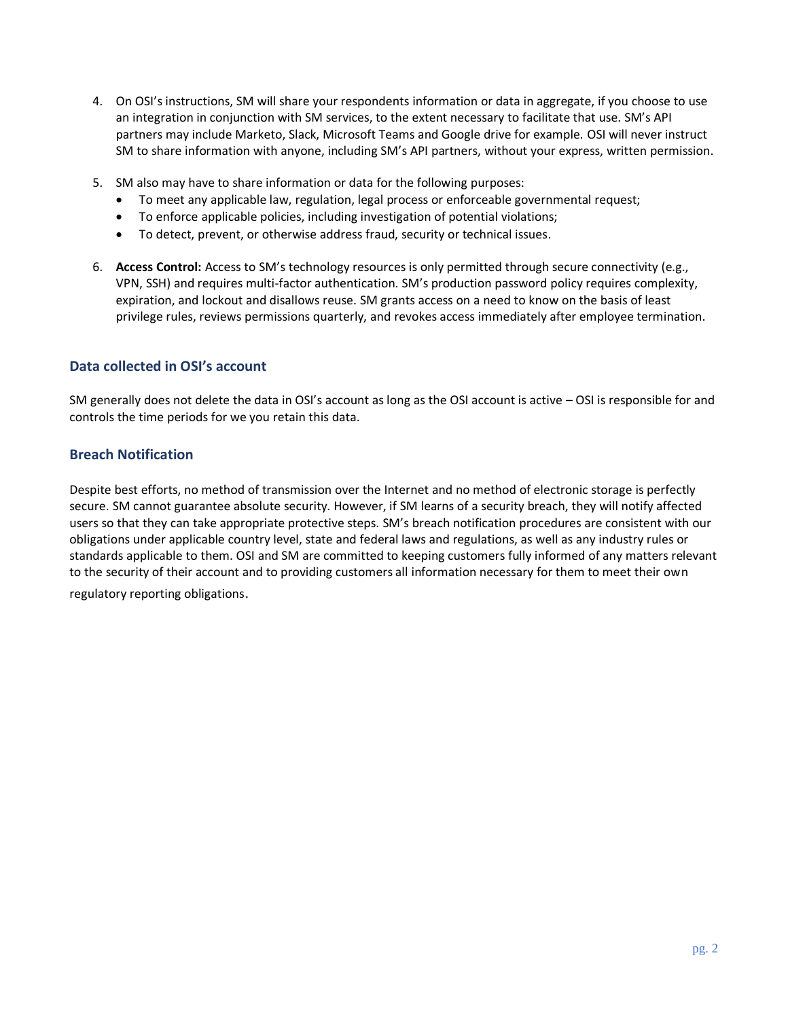- 4. On OSI's instructions, SM will share your respondents information or data in aggregate, if you choose to use an integration in conjunction with SM services, to the extent necessary to facilitate that use. SM's API partners may include Marketo, Slack, Microsoft Teams and Google drive for example. OSI will never instruct SM to share information with anyone, including SM's API partners, without your express, written permission.
- 5. SM also may have to share information or data for the following purposes:
	- To meet any applicable law, regulation, legal process or enforceable governmental request;
	- To enforce applicable policies, including investigation of potential violations;
	- To detect, prevent, or otherwise address fraud, security or technical issues.
- 6. **Access Control:** Access to SM's technology resources is only permitted through secure connectivity (e.g., VPN, SSH) and requires multi-factor authentication. SM's production password policy requires complexity, expiration, and lockout and disallows reuse. SM grants access on a need to know on the basis of least privilege rules, reviews permissions quarterly, and revokes access immediately after employee termination.

#### **Data collected in OSI's account**

SM generally does not delete the data in OSI's account as long as the OSI account is active – OSI is responsible for and controls the time periods for we you retain this data.

#### **Breach Notification**

Despite best efforts, no method of transmission over the Internet and no method of electronic storage is perfectly secure. SM cannot guarantee absolute security. However, if SM learns of a security breach, they will notify affected users so that they can take appropriate protective steps. SM's breach notification procedures are consistent with our obligations under applicable country level, state and federal laws and regulations, as well as any industry rules or standards applicable to them. OSI and SM are committed to keeping customers fully informed of any matters relevant to the security of their account and to providing customers all information necessary for them to meet their own regulatory reporting obligations.